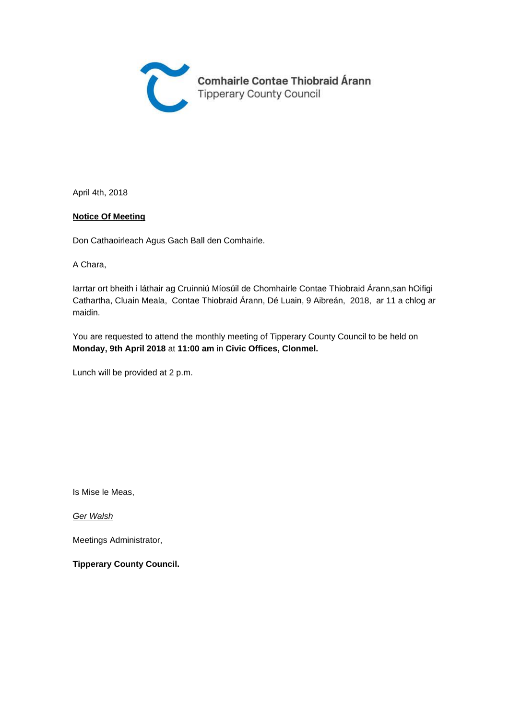

April 4th, 2018

#### **Notice Of Meeting**

Don Cathaoirleach Agus Gach Ball den Comhairle.

A Chara,

Iarrtar ort bheith i láthair ag Cruinniú Míosúil de Chomhairle Contae Thiobraid Árann,san hOifigi Cathartha, Cluain Meala, Contae Thiobraid Árann, Dé Luain, 9 Aibreán, 2018, ar 11 a chlog ar maidin.

You are requested to attend the monthly meeting of Tipperary County Council to be held on **Monday, 9th April 2018** at **11:00 am** in **Civic Offices, Clonmel.** 

Lunch will be provided at 2 p.m.

Is Mise le Meas,

Ger Walsh

Meetings Administrator,

**Tipperary County Council.**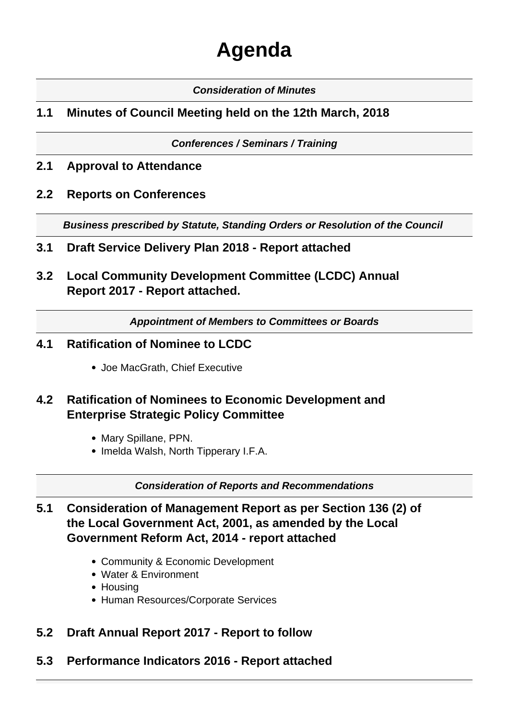# **Agenda**

### **Consideration of Minutes**

# **1.1 Minutes of Council Meeting held on the 12th March, 2018**

**Conferences / Seminars / Training**

- **2.1 Approval to Attendance**
- **2.2 Reports on Conferences**

**Business prescribed by Statute, Standing Orders or Resolution of the Council** 

- **3.1 Draft Service Delivery Plan 2018 Report attached**
- **3.2 Local Community Development Committee (LCDC) Annual Report 2017 - Report attached.**

**Appointment of Members to Committees or Boards**

- **4.1 Ratification of Nominee to LCDC**
	- Joe MacGrath, Chief Executive
- **4.2 Ratification of Nominees to Economic Development and Enterprise Strategic Policy Committee**
	- Mary Spillane, PPN.
	- Imelda Walsh, North Tipperary I.F.A.

**Consideration of Reports and Recommendations**

- **5.1 Consideration of Management Report as per Section 136 (2) of the Local Government Act, 2001, as amended by the Local Government Reform Act, 2014 - report attached**
	- Community & Economic Development
	- Water & Environment
	- Housing
	- Human Resources/Corporate Services
- **5.2 Draft Annual Report 2017 Report to follow**
- **5.3 Performance Indicators 2016 Report attached**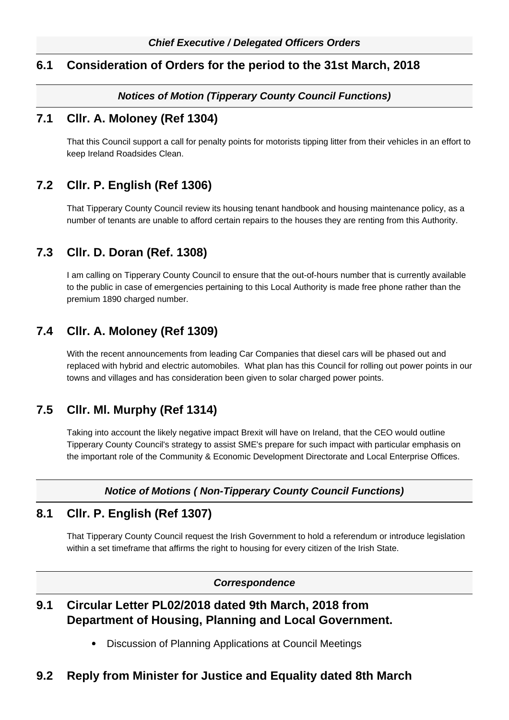## **6.1 Consideration of Orders for the period to the 31st March, 2018**

### **Notices of Motion (Tipperary County Council Functions)**

### **7.1 Cllr. A. Moloney (Ref 1304)**

That this Council support a call for penalty points for motorists tipping litter from their vehicles in an effort to keep Ireland Roadsides Clean.

## **7.2 Cllr. P. English (Ref 1306)**

That Tipperary County Council review its housing tenant handbook and housing maintenance policy, as a number of tenants are unable to afford certain repairs to the houses they are renting from this Authority.

## **7.3 Cllr. D. Doran (Ref. 1308)**

I am calling on Tipperary County Council to ensure that the out-of-hours number that is currently available to the public in case of emergencies pertaining to this Local Authority is made free phone rather than the premium 1890 charged number.

# **7.4 Cllr. A. Moloney (Ref 1309)**

With the recent announcements from leading Car Companies that diesel cars will be phased out and replaced with hybrid and electric automobiles. What plan has this Council for rolling out power points in our towns and villages and has consideration been given to solar charged power points.

## **7.5 Cllr. Ml. Murphy (Ref 1314)**

Taking into account the likely negative impact Brexit will have on Ireland, that the CEO would outline Tipperary County Council's strategy to assist SME's prepare for such impact with particular emphasis on the important role of the Community & Economic Development Directorate and Local Enterprise Offices.

### **Notice of Motions ( Non-Tipperary County Council Functions)**

### **8.1 Cllr. P. English (Ref 1307)**

That Tipperary County Council request the Irish Government to hold a referendum or introduce legislation within a set timeframe that affirms the right to housing for every citizen of the Irish State.

#### **Correspondence**

# **9.1 Circular Letter PL02/2018 dated 9th March, 2018 from Department of Housing, Planning and Local Government.**

Discussion of Planning Applications at Council Meetings

### **9.2 Reply from Minister for Justice and Equality dated 8th March**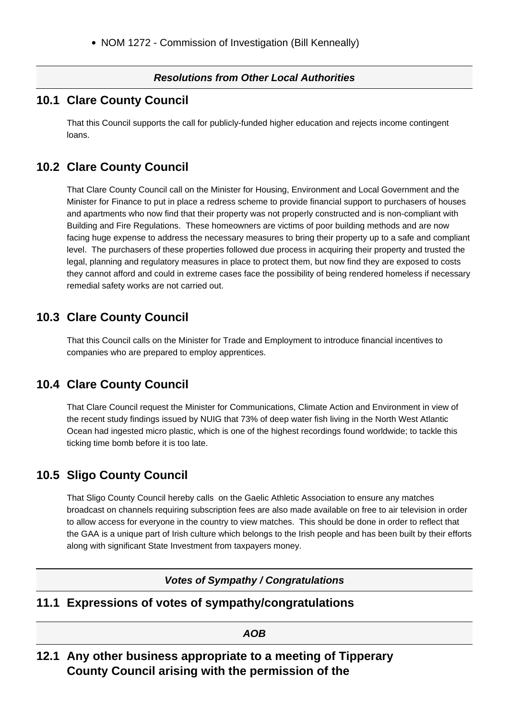### **Resolutions from Other Local Authorities**

## **10.1 Clare County Council**

That this Council supports the call for publicly-funded higher education and rejects income contingent loans.

# **10.2 Clare County Council**

That Clare County Council call on the Minister for Housing, Environment and Local Government and the Minister for Finance to put in place a redress scheme to provide financial support to purchasers of houses and apartments who now find that their property was not properly constructed and is non-compliant with Building and Fire Regulations. These homeowners are victims of poor building methods and are now facing huge expense to address the necessary measures to bring their property up to a safe and compliant level. The purchasers of these properties followed due process in acquiring their property and trusted the legal, planning and regulatory measures in place to protect them, but now find they are exposed to costs they cannot afford and could in extreme cases face the possibility of being rendered homeless if necessary remedial safety works are not carried out.

# **10.3 Clare County Council**

That this Council calls on the Minister for Trade and Employment to introduce financial incentives to companies who are prepared to employ apprentices.

## **10.4 Clare County Council**

That Clare Council request the Minister for Communications, Climate Action and Environment in view of the recent study findings issued by NUIG that 73% of deep water fish living in the North West Atlantic Ocean had ingested micro plastic, which is one of the highest recordings found worldwide; to tackle this ticking time bomb before it is too late.

## **10.5 Sligo County Council**

That Sligo County Council hereby calls on the Gaelic Athletic Association to ensure any matches broadcast on channels requiring subscription fees are also made available on free to air television in order to allow access for everyone in the country to view matches. This should be done in order to reflect that the GAA is a unique part of Irish culture which belongs to the Irish people and has been built by their efforts along with significant State Investment from taxpayers money.

### **Votes of Sympathy / Congratulations**

## **11.1 Expressions of votes of sympathy/congratulations**

**AOB**

**12.1 Any other business appropriate to a meeting of Tipperary County Council arising with the permission of the**